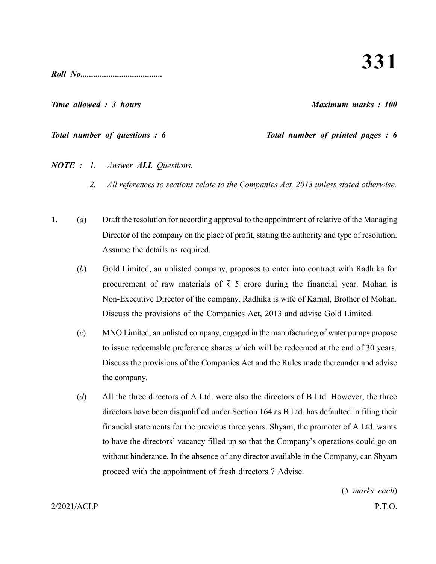**331**

*Roll No......................................*

*Time allowed : 3 hours Maximum marks : 100*

*Total number of questions : 6 Total number of printed pages : 6*

*NOTE : 1. Answer ALL Questions.*

- *2. All references to sections relate to the Companies Act, 2013 unless stated otherwise.*
- **1.** (*a*) Draft the resolution for according approval to the appointment of relative of the Managing Director of the company on the place of profit, stating the authority and type of resolution. Assume the details as required.
	- (*b*) Gold Limited, an unlisted company, proposes to enter into contract with Radhika for procurement of raw materials of  $\bar{\tau}$  5 crore during the financial year. Mohan is Non-Executive Director of the company. Radhika is wife of Kamal, Brother of Mohan. Discuss the provisions of the Companies Act, 2013 and advise Gold Limited.
	- (*c*) MNO Limited, an unlisted company, engaged in the manufacturing of water pumps propose to issue redeemable preference shares which will be redeemed at the end of 30 years. Discuss the provisions of the Companies Act and the Rules made thereunder and advise the company.
	- (*d*) All the three directors of A Ltd. were also the directors of B Ltd. However, the three directors have been disqualified under Section 164 as B Ltd. has defaulted in filing their financial statements for the previous three years. Shyam, the promoter of A Ltd. wants to have the directors' vacancy filled up so that the Company's operations could go on without hinderance. In the absence of any director available in the Company, can Shyam proceed with the appointment of fresh directors ? Advise.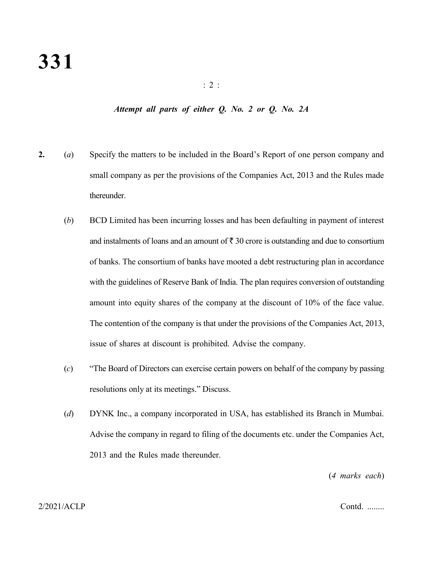## *Attempt all parts of either Q. No. 2 or Q. No. 2A*

- **2.** (*a*) Specify the matters to be included in the Board's Report of one person company and small company as per the provisions of the Companies Act, 2013 and the Rules made thereunder.
	- (*b*) BCD Limited has been incurring losses and has been defaulting in payment of interest and instalments of loans and an amount of  $\bar{\tau}$  30 crore is outstanding and due to consortium of banks. The consortium of banks have mooted a debt restructuring plan in accordance with the guidelines of Reserve Bank of India. The plan requires conversion of outstanding amount into equity shares of the company at the discount of 10% of the face value. The contention of the company is that under the provisions of the Companies Act, 2013, issue of shares at discount is prohibited. Advise the company.
	- (*c*) "The Board of Directors can exercise certain powers on behalf of the company by passing resolutions only at its meetings." Discuss.
	- (*d*) DYNK Inc., a company incorporated in USA, has established its Branch in Mumbai. Advise the company in regard to filing of the documents etc. under the Companies Act, 2013 and the Rules made thereunder.

(*4 marks each*)

# 2/2021/ACLP Contd. ........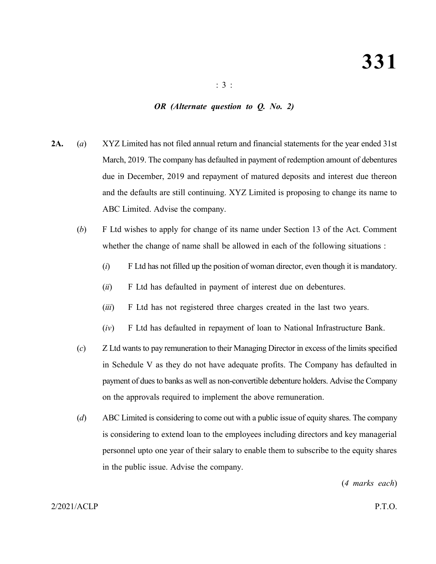# *OR (Alternate question to Q. No. 2)*

- **2A.** (*a*) XYZ Limited has not filed annual return and financial statements for the year ended 31st March, 2019. The company has defaulted in payment of redemption amount of debentures due in December, 2019 and repayment of matured deposits and interest due thereon and the defaults are still continuing. XYZ Limited is proposing to change its name to ABC Limited. Advise the company.
	- (*b*) F Ltd wishes to apply for change of its name under Section 13 of the Act. Comment whether the change of name shall be allowed in each of the following situations :
		- (*i*) F Ltd has not filled up the position of woman director, even though it is mandatory.
		- (*ii*) F Ltd has defaulted in payment of interest due on debentures.
		- (*iii*) F Ltd has not registered three charges created in the last two years.
		- (*iv*) F Ltd has defaulted in repayment of loan to National Infrastructure Bank.
	- (*c*) Z Ltd wants to pay remuneration to their Managing Director in excess of the limits specified in Schedule V as they do not have adequate profits. The Company has defaulted in payment of dues to banks as well as non-convertible debenture holders. Advise the Company on the approvals required to implement the above remuneration.
	- (*d*) ABC Limited is considering to come out with a public issue of equity shares. The company is considering to extend loan to the employees including directors and key managerial personnel upto one year of their salary to enable them to subscribe to the equity shares in the public issue. Advise the company.

(*4 marks each*)

# 2/2021/ACLP P.T.O.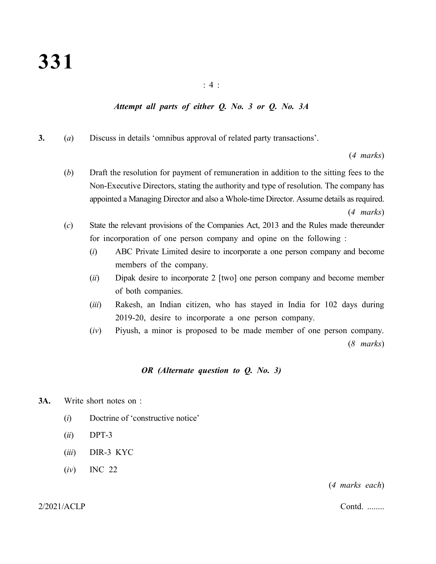## : 4 :

# *Attempt all parts of either Q. No. 3 or Q. No. 3A*

**3.** (*a*) Discuss in details 'omnibus approval of related party transactions'.

(*4 marks*)

- (*b*) Draft the resolution for payment of remuneration in addition to the sitting fees to the Non-Executive Directors, stating the authority and type of resolution. The company has appointed a Managing Director and also a Whole-time Director. Assume details as required. (*4 marks*)
- (*c*) State the relevant provisions of the Companies Act, 2013 and the Rules made thereunder for incorporation of one person company and opine on the following :
	- (*i*) ABC Private Limited desire to incorporate a one person company and become members of the company.
	- (*ii*) Dipak desire to incorporate 2 [two] one person company and become member of both companies.
	- (*iii*) Rakesh, an Indian citizen, who has stayed in India for 102 days during 2019-20, desire to incorporate a one person company.
	- (*iv*) Piyush, a minor is proposed to be made member of one person company. (*8 marks*)

# *OR (Alternate question to Q. No. 3)*

- **3A.** Write short notes on :
	- (*i*) Doctrine of 'constructive notice'
	- (*ii*) DPT-3
	- (*iii*) DIR-3 KYC
	- (*iv*) INC 22

(*4 marks each*)

2/2021/ACLP Contd. ........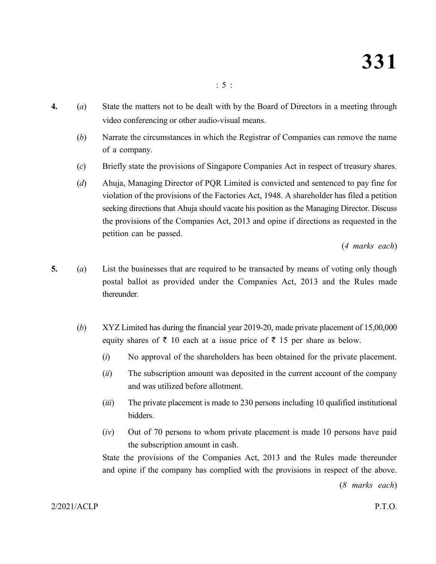- **4.** (*a*) State the matters not to be dealt with by the Board of Directors in a meeting through video conferencing or other audio-visual means.
	- (*b*) Narrate the circumstances in which the Registrar of Companies can remove the name of a company.
	- (*c*) Briefly state the provisions of Singapore Companies Act in respect of treasury shares.
	- (*d*) Ahuja, Managing Director of PQR Limited is convicted and sentenced to pay fine for violation of the provisions of the Factories Act, 1948. A shareholder has filed a petition seeking directions that Ahuja should vacate his position as the Managing Director. Discuss the provisions of the Companies Act, 2013 and opine if directions as requested in the petition can be passed.

(*4 marks each*)

- **5.** (*a*) List the businesses that are required to be transacted by means of voting only though postal ballot as provided under the Companies Act, 2013 and the Rules made thereunder.
	- (*b*) XYZ Limited has during the financial year 2019-20, made private placement of 15,00,000 equity shares of  $\bar{\tau}$  10 each at a issue price of  $\bar{\tau}$  15 per share as below.
		- (*i*) No approval of the shareholders has been obtained for the private placement.
		- (*ii*) The subscription amount was deposited in the current account of the company and was utilized before allotment.
		- (*iii*) The private placement is made to 230 persons including 10 qualified institutional bidders.
		- (*iv*) Out of 70 persons to whom private placement is made 10 persons have paid the subscription amount in cash.

State the provisions of the Companies Act, 2013 and the Rules made thereunder and opine if the company has complied with the provisions in respect of the above.

(*8 marks each*)

2/2021/ACLP P.T.O.